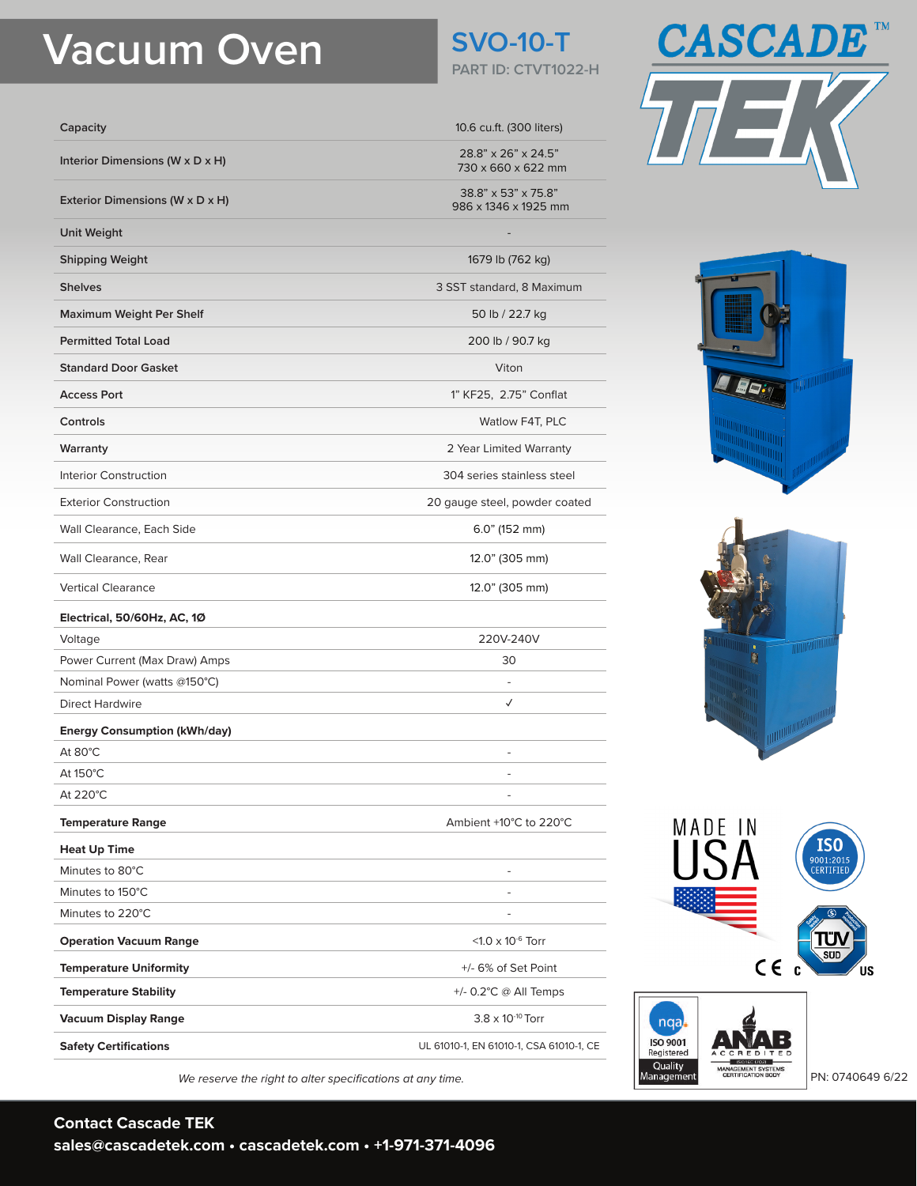# **Vacuum Oven SVO-10-T**

| Capacity                        |  |
|---------------------------------|--|
| Interior Dimensions (W x D x H) |  |
| Exterior Dimensions (W x D x H) |  |

**Unit Weight** 

**Shipping Weight** 1679 lb (762 kg)

**Shelves** 3 SST standard, 8 Maximum

**Maximum Weight Per Shelf** 50 lb / 22.7 kg

**Permitted Total Load** 200 lb / 90.7 kg

**Standard Door Gasket** Viton

**Controls** Watlow F4T, PLC

**Warranty** 2 Year Limited Warranty

Interior Construction 304 series stainless steel

Exterior Construction 20 gauge steel, powder coated

Wall Clearance, Each Side 6.0" (152 mm)

Wall Clearance, Rear 12.0" (305 mm)

Vertical Clearance 12.0" (305 mm)

#### **Electrical, 50/60Hz, AC, 1Ø**

Voltage 220V-240V Power Current (Max Draw) Amps 30 Nominal Power (watts @150°C) **All and Accord Power (watts @150°C**) **-**

## Direct Hardwire **✓**

**Energy Consumption (kWh/day)** At 80 $^{\circ}$ C  $^-$ 

 $\mathsf{At}~150^\circ\mathsf{C}$ 

At 220 $^{\circ}$ C  $^-$ 

### **Temperature Range Ambient +10°C to 220°C**

**Heat Up Time** Minutes to 80°C -

Minutes to 150°C -

Minutes to 220°C **and the contract of the contract of the contract of the contract of the contract of the contract of the contract of the contract of the contract of the contract of the contract of the contract of the cont** 

**Operation Vacuum Range CONSIDERING CONSIDERING CONSIDERING CONSIDERING CONSIDERING CONSIDERING CONSIDERING CONSIDERING CONSIDERING CONSIDERING CONSIDERING CONSIDERING CONSIDERING CONSIDERING CONSIDERING CONSIDERING CONS Temperature Uniformity 1.1 Temperature Uniformity 1.1 Temperature Uniformity** 

**Temperature Stability** +/- 0.2°C @ All Temps **Vacuum Display Range 3.8 x 10<sup>-10</sup> Torr** 

**Access Port** 1" KF25, 2.75" Conflat

**Safety Certifications Safety Certifications UL 61010-1, EN 61010-1, CSA 61010-1, CE** *We reserve the right to alter specifications at any time.* Public example and a server of the right to alter specifications at any time.



**PART ID: CTVT1022-H** 

**Capacity** 10.6 cu.ft. (300 liters)

**Interior Dimensions (W x D x H)** 28.8" x 26" x 24.5" 730 x 660 x 622 mm

**Exterior Dimensions (W x D x H)** 38.8" x 53" x 75.8" 986 x 1346 x 1925 mm